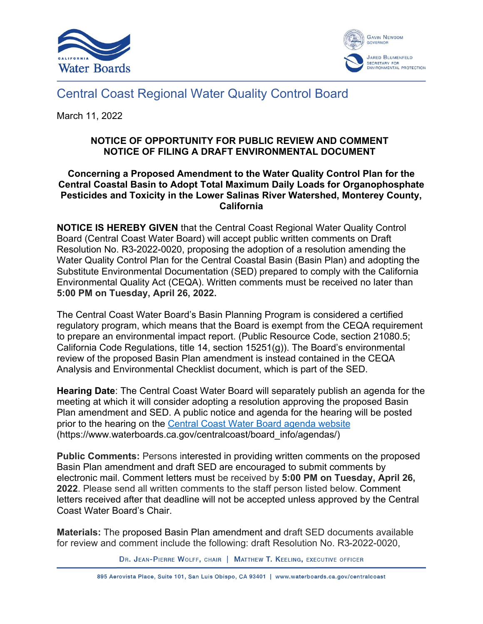



## Central Coast Regional Water Quality Control Board

March 11, 2022

## **NOTICE OF OPPORTUNITY FOR PUBLIC REVIEW AND COMMENT NOTICE OF FILING A DRAFT ENVIRONMENTAL DOCUMENT**

## **Concerning a Proposed Amendment to the Water Quality Control Plan for the Central Coastal Basin to Adopt Total Maximum Daily Loads for Organophosphate Pesticides and Toxicity in the Lower Salinas River Watershed, Monterey County, California**

**NOTICE IS HEREBY GIVEN** that the Central Coast Regional Water Quality Control Board (Central Coast Water Board) will accept public written comments on Draft Resolution No. R3-2022-0020, proposing the adoption of a resolution amending the Water Quality Control Plan for the Central Coastal Basin (Basin Plan) and adopting the Substitute Environmental Documentation (SED) prepared to comply with the California Environmental Quality Act (CEQA). Written comments must be received no later than **5:00 PM on Tuesday, April 26, 2022.**

The Central Coast Water Board's Basin Planning Program is considered a certified regulatory program, which means that the Board is exempt from the CEQA requirement to prepare an environmental impact report. (Public Resource Code, section 21080.5; California Code Regulations, title 14, section 15251(g)). The Board's environmental review of the proposed Basin Plan amendment is instead contained in the CEQA Analysis and Environmental Checklist document, which is part of the SED.

**Hearing Date**: The Central Coast Water Board will separately publish an agenda for the meeting at which it will consider adopting a resolution approving the proposed Basin Plan amendment and SED. A public notice and agenda for the hearing will be posted prior to the hearing on the [Central Coast Water Board agenda website](https://www.waterboards.ca.gov/centralcoast/board_info/agendas/) (https://www.waterboards.ca.gov/centralcoast/board\_info/agendas/)

**Public Comments:** Persons interested in providing written comments on the proposed Basin Plan amendment and draft SED are encouraged to submit comments by electronic mail. Comment letters must be received by **5:00 PM on Tuesday, April 26, 2022**. Please send all written comments to the staff person listed below. Comment letters received after that deadline will not be accepted unless approved by the Central Coast Water Board's Chair.

**Materials:** The proposed Basin Plan amendment and draft SED documents available for review and comment include the following: draft Resolution No. R3-2022-0020,

DR. JEAN-PIERRE WOLFF, CHAIR | MATTHEW T. KEELING, EXECUTIVE OFFICER